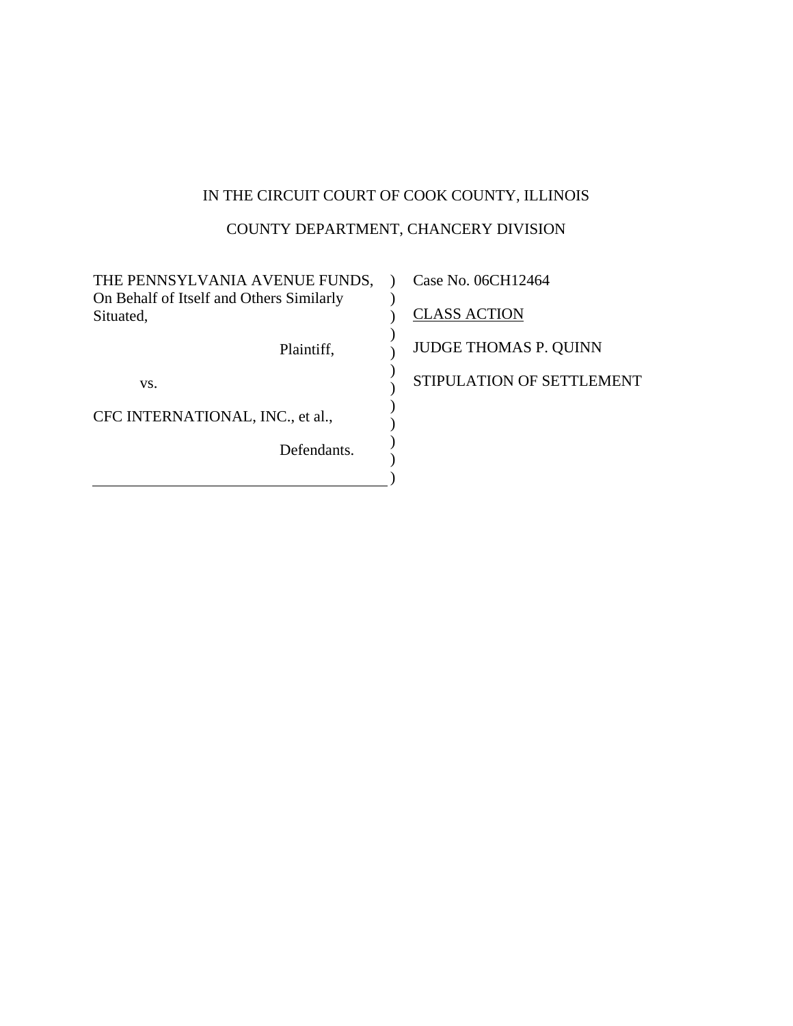# IN THE CIRCUIT COURT OF COOK COUNTY, ILLINOIS

# COUNTY DEPARTMENT, CHANCERY DIVISION

| THE PENNSYLVANIA AVENUE FUNDS,                        | Case No. 06CH12464           |
|-------------------------------------------------------|------------------------------|
| On Behalf of Itself and Others Similarly<br>Situated, | <b>CLASS ACTION</b>          |
| Plaintiff,                                            | <b>JUDGE THOMAS P. QUINN</b> |
| VS.                                                   | STIPULATION OF SETTLEMENT    |
| CFC INTERNATIONAL, INC., et al.,                      |                              |
| Defendants.                                           |                              |
|                                                       |                              |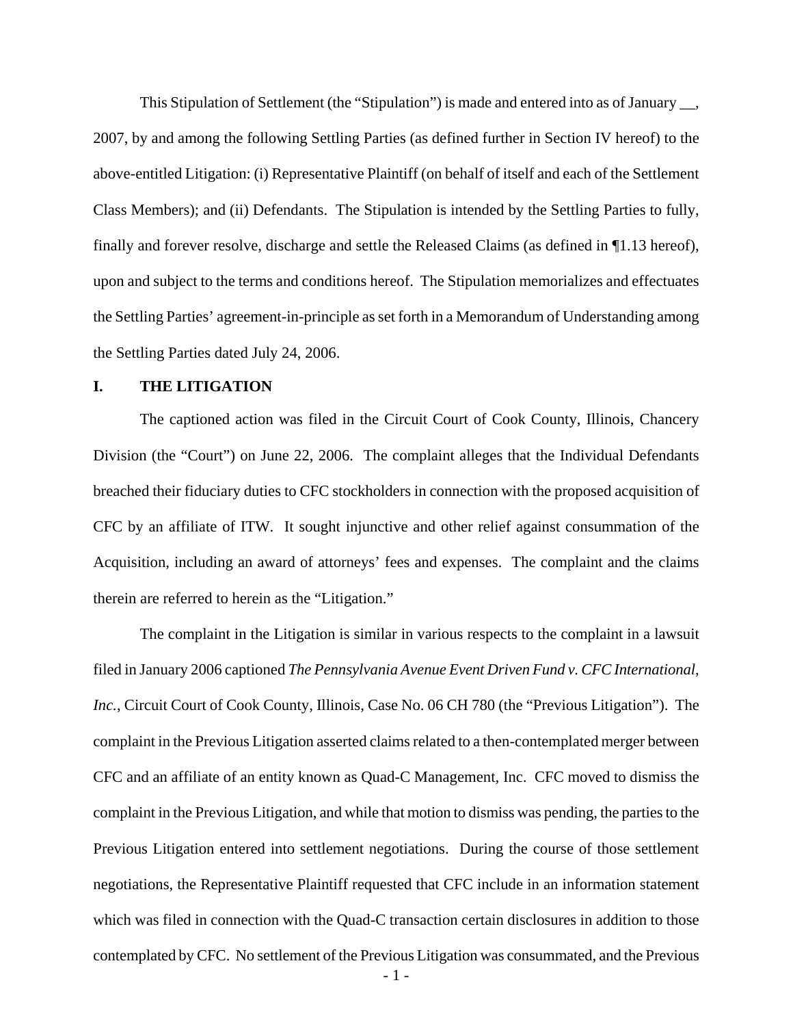This Stipulation of Settlement (the "Stipulation") is made and entered into as of January \_\_, 2007, by and among the following Settling Parties (as defined further in Section IV hereof) to the above-entitled Litigation: (i) Representative Plaintiff (on behalf of itself and each of the Settlement Class Members); and (ii) Defendants. The Stipulation is intended by the Settling Parties to fully, finally and forever resolve, discharge and settle the Released Claims (as defined in ¶1.13 hereof), upon and subject to the terms and conditions hereof. The Stipulation memorializes and effectuates the Settling Parties' agreement-in-principle as set forth in a Memorandum of Understanding among the Settling Parties dated July 24, 2006.

#### **I. THE LITIGATION**

The captioned action was filed in the Circuit Court of Cook County, Illinois, Chancery Division (the "Court") on June 22, 2006. The complaint alleges that the Individual Defendants breached their fiduciary duties to CFC stockholders in connection with the proposed acquisition of CFC by an affiliate of ITW. It sought injunctive and other relief against consummation of the Acquisition, including an award of attorneys' fees and expenses. The complaint and the claims therein are referred to herein as the "Litigation."

- 1 - The complaint in the Litigation is similar in various respects to the complaint in a lawsuit filed in January 2006 captioned *The Pennsylvania Avenue Event Driven Fund v. CFC International, Inc.*, Circuit Court of Cook County, Illinois, Case No. 06 CH 780 (the "Previous Litigation"). The complaint in the Previous Litigation asserted claims related to a then-contemplated merger between CFC and an affiliate of an entity known as Quad-C Management, Inc. CFC moved to dismiss the complaint in the Previous Litigation, and while that motion to dismiss was pending, the parties to the Previous Litigation entered into settlement negotiations. During the course of those settlement negotiations, the Representative Plaintiff requested that CFC include in an information statement which was filed in connection with the Quad-C transaction certain disclosures in addition to those contemplated by CFC. No settlement of the Previous Litigation was consummated, and the Previous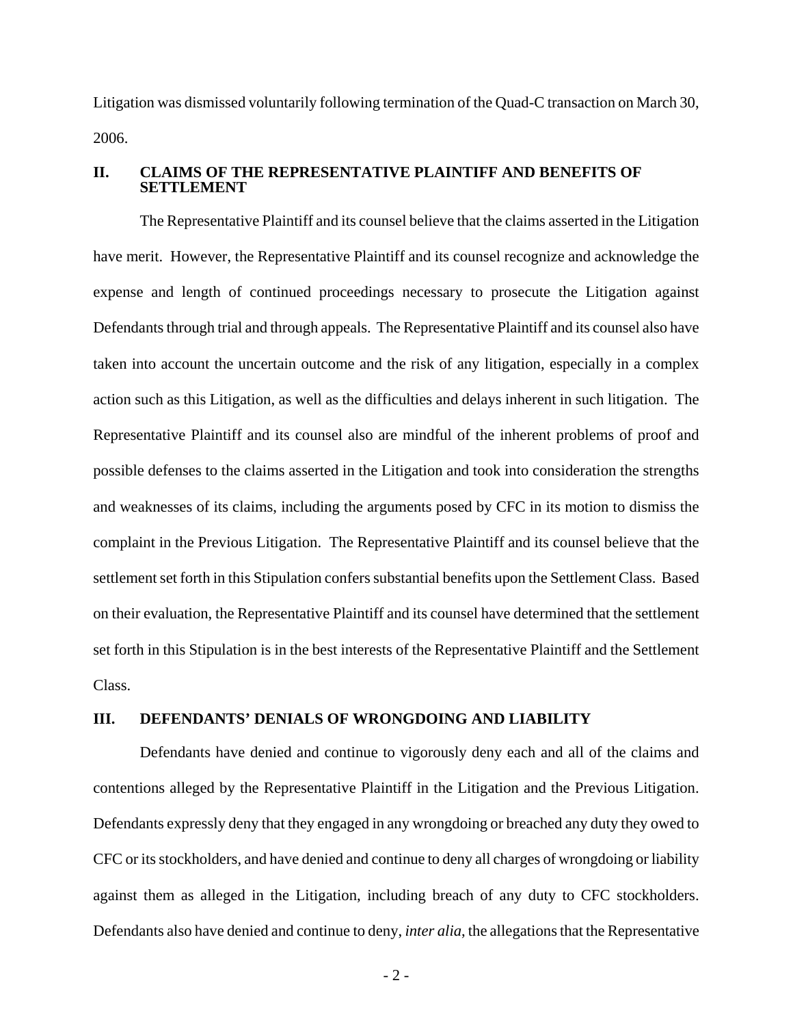Litigation was dismissed voluntarily following termination of the Quad-C transaction on March 30, 2006.

#### **II. CLAIMS OF THE REPRESENTATIVE PLAINTIFF AND BENEFITS OF SETTLEMENT**

The Representative Plaintiff and its counsel believe that the claims asserted in the Litigation have merit. However, the Representative Plaintiff and its counsel recognize and acknowledge the expense and length of continued proceedings necessary to prosecute the Litigation against Defendants through trial and through appeals. The Representative Plaintiff and its counsel also have taken into account the uncertain outcome and the risk of any litigation, especially in a complex action such as this Litigation, as well as the difficulties and delays inherent in such litigation. The Representative Plaintiff and its counsel also are mindful of the inherent problems of proof and possible defenses to the claims asserted in the Litigation and took into consideration the strengths and weaknesses of its claims, including the arguments posed by CFC in its motion to dismiss the complaint in the Previous Litigation. The Representative Plaintiff and its counsel believe that the settlement set forth in this Stipulation confers substantial benefits upon the Settlement Class. Based on their evaluation, the Representative Plaintiff and its counsel have determined that the settlement set forth in this Stipulation is in the best interests of the Representative Plaintiff and the Settlement Class.

### **III. DEFENDANTS' DENIALS OF WRONGDOING AND LIABILITY**

Defendants have denied and continue to vigorously deny each and all of the claims and contentions alleged by the Representative Plaintiff in the Litigation and the Previous Litigation. Defendants expressly deny that they engaged in any wrongdoing or breached any duty they owed to CFC or its stockholders, and have denied and continue to deny all charges of wrongdoing or liability against them as alleged in the Litigation, including breach of any duty to CFC stockholders. Defendants also have denied and continue to deny, *inter alia*, the allegations that the Representative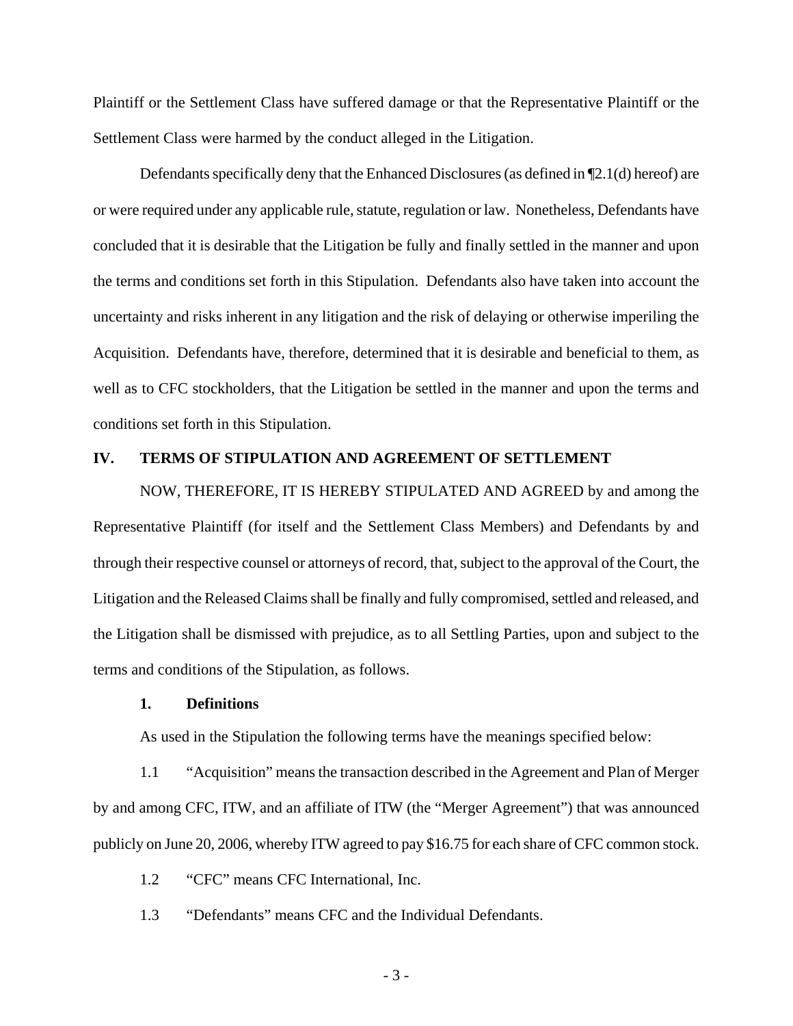Plaintiff or the Settlement Class have suffered damage or that the Representative Plaintiff or the Settlement Class were harmed by the conduct alleged in the Litigation.

Defendants specifically deny that the Enhanced Disclosures (as defined in ¶2.1(d) hereof) are or were required under any applicable rule, statute, regulation or law. Nonetheless, Defendants have concluded that it is desirable that the Litigation be fully and finally settled in the manner and upon the terms and conditions set forth in this Stipulation. Defendants also have taken into account the uncertainty and risks inherent in any litigation and the risk of delaying or otherwise imperiling the Acquisition. Defendants have, therefore, determined that it is desirable and beneficial to them, as well as to CFC stockholders, that the Litigation be settled in the manner and upon the terms and conditions set forth in this Stipulation.

## **IV. TERMS OF STIPULATION AND AGREEMENT OF SETTLEMENT**

NOW, THEREFORE, IT IS HEREBY STIPULATED AND AGREED by and among the Representative Plaintiff (for itself and the Settlement Class Members) and Defendants by and through their respective counsel or attorneys of record, that, subject to the approval of the Court, the Litigation and the Released Claims shall be finally and fully compromised, settled and released, and the Litigation shall be dismissed with prejudice, as to all Settling Parties, upon and subject to the terms and conditions of the Stipulation, as follows.

#### **1. Definitions**

As used in the Stipulation the following terms have the meanings specified below:

1.1 "Acquisition" means the transaction described in the Agreement and Plan of Merger by and among CFC, ITW, and an affiliate of ITW (the "Merger Agreement") that was announced publicly on June 20, 2006, whereby ITW agreed to pay \$16.75 for each share of CFC common stock.

1.2 "CFC" means CFC International, Inc.

1.3 "Defendants" means CFC and the Individual Defendants.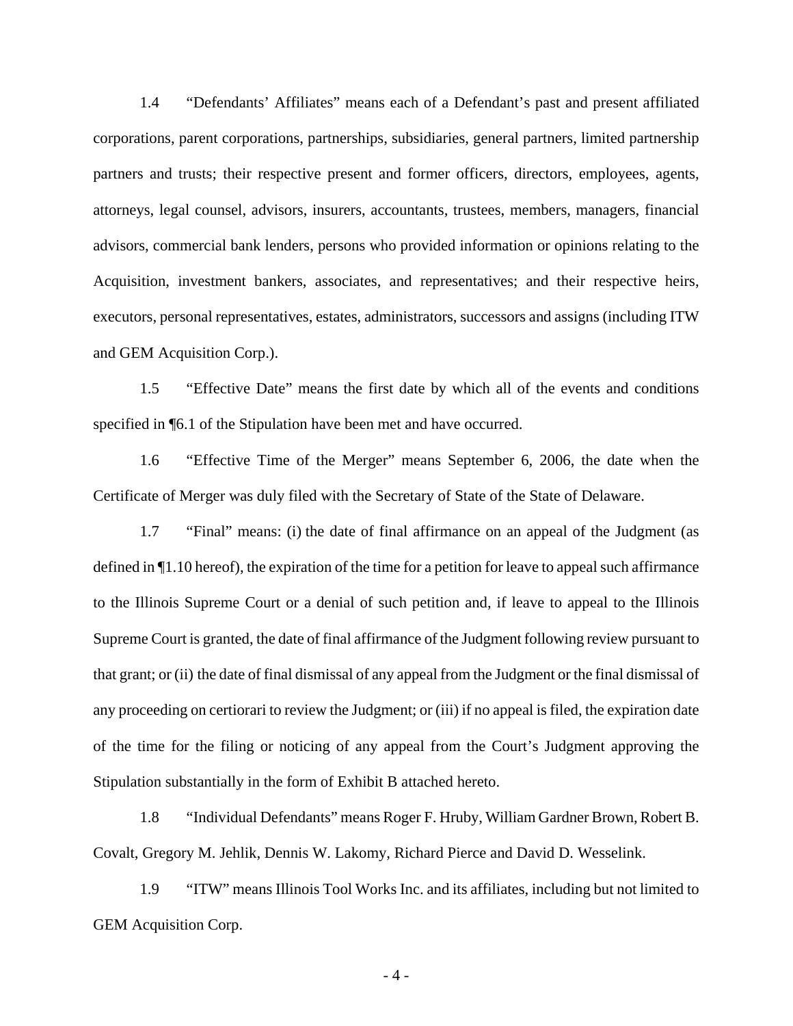1.4 "Defendants' Affiliates" means each of a Defendant's past and present affiliated corporations, parent corporations, partnerships, subsidiaries, general partners, limited partnership partners and trusts; their respective present and former officers, directors, employees, agents, attorneys, legal counsel, advisors, insurers, accountants, trustees, members, managers, financial advisors, commercial bank lenders, persons who provided information or opinions relating to the Acquisition, investment bankers, associates, and representatives; and their respective heirs, executors, personal representatives, estates, administrators, successors and assigns (including ITW and GEM Acquisition Corp.).

1.5 "Effective Date" means the first date by which all of the events and conditions specified in ¶6.1 of the Stipulation have been met and have occurred.

1.6 "Effective Time of the Merger" means September 6, 2006, the date when the Certificate of Merger was duly filed with the Secretary of State of the State of Delaware.

1.7 "Final" means: (i) the date of final affirmance on an appeal of the Judgment (as defined in ¶1.10 hereof), the expiration of the time for a petition for leave to appeal such affirmance to the Illinois Supreme Court or a denial of such petition and, if leave to appeal to the Illinois Supreme Court is granted, the date of final affirmance of the Judgment following review pursuant to that grant; or (ii) the date of final dismissal of any appeal from the Judgment or the final dismissal of any proceeding on certiorari to review the Judgment; or (iii) if no appeal is filed, the expiration date of the time for the filing or noticing of any appeal from the Court's Judgment approving the Stipulation substantially in the form of Exhibit B attached hereto.

1.8 "Individual Defendants" means Roger F. Hruby, William Gardner Brown, Robert B. Covalt, Gregory M. Jehlik, Dennis W. Lakomy, Richard Pierce and David D. Wesselink.

1.9 "ITW" means Illinois Tool Works Inc. and its affiliates, including but not limited to GEM Acquisition Corp.

- 4 -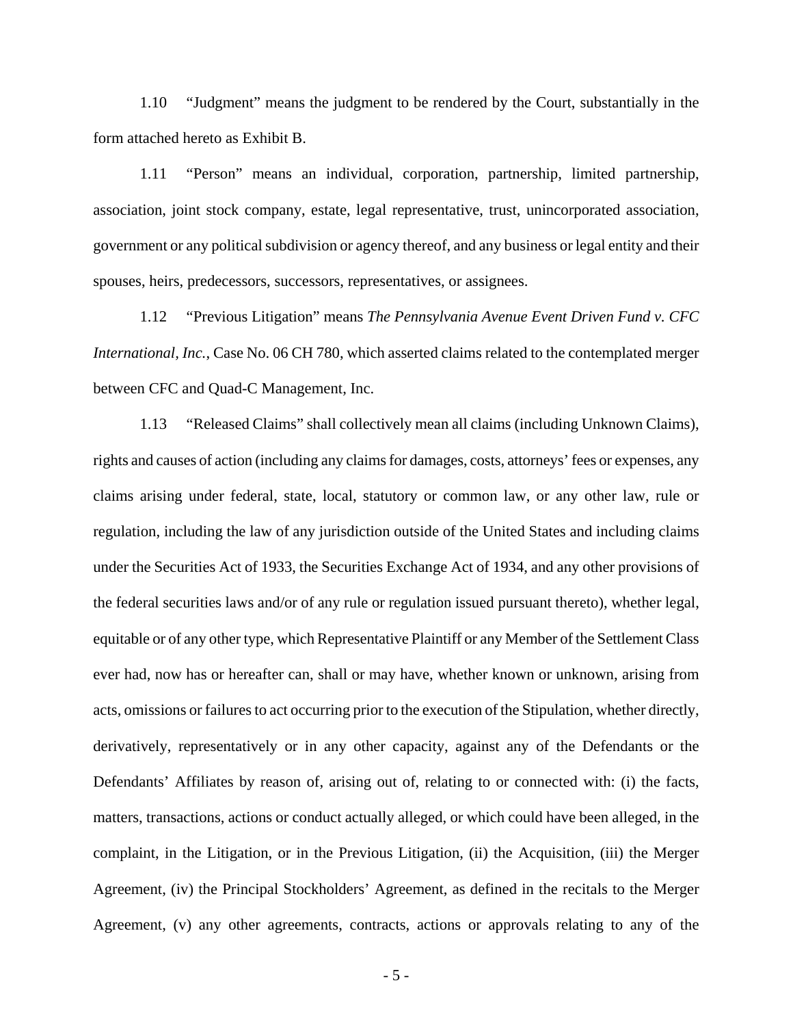1.10 "Judgment" means the judgment to be rendered by the Court, substantially in the form attached hereto as Exhibit B.

1.11 "Person" means an individual, corporation, partnership, limited partnership, association, joint stock company, estate, legal representative, trust, unincorporated association, government or any political subdivision or agency thereof, and any business or legal entity and their spouses, heirs, predecessors, successors, representatives, or assignees.

1.12 "Previous Litigation" means *The Pennsylvania Avenue Event Driven Fund v. CFC International, Inc.*, Case No. 06 CH 780, which asserted claims related to the contemplated merger between CFC and Quad-C Management, Inc.

1.13 "Released Claims" shall collectively mean all claims (including Unknown Claims), rights and causes of action (including any claims for damages, costs, attorneys' fees or expenses, any claims arising under federal, state, local, statutory or common law, or any other law, rule or regulation, including the law of any jurisdiction outside of the United States and including claims under the Securities Act of 1933, the Securities Exchange Act of 1934, and any other provisions of the federal securities laws and/or of any rule or regulation issued pursuant thereto), whether legal, equitable or of any other type, which Representative Plaintiff or any Member of the Settlement Class ever had, now has or hereafter can, shall or may have, whether known or unknown, arising from acts, omissions or failures to act occurring prior to the execution of the Stipulation, whether directly, derivatively, representatively or in any other capacity, against any of the Defendants or the Defendants' Affiliates by reason of, arising out of, relating to or connected with: (i) the facts, matters, transactions, actions or conduct actually alleged, or which could have been alleged, in the complaint, in the Litigation, or in the Previous Litigation, (ii) the Acquisition, (iii) the Merger Agreement, (iv) the Principal Stockholders' Agreement, as defined in the recitals to the Merger Agreement, (v) any other agreements, contracts, actions or approvals relating to any of the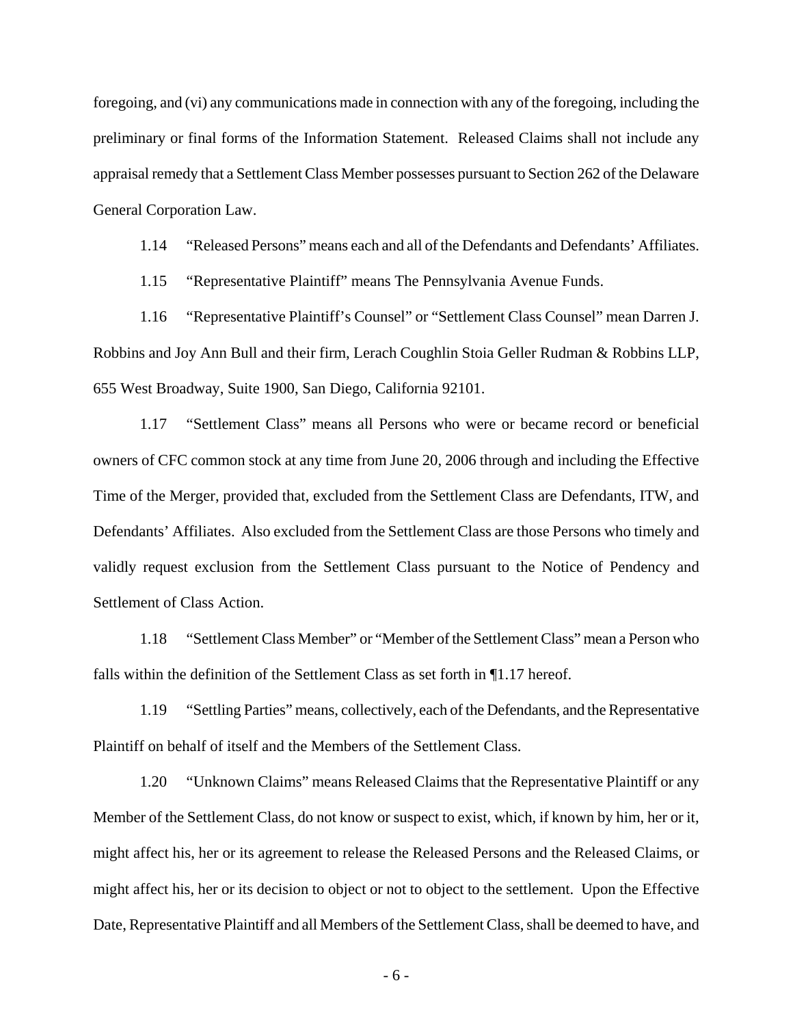foregoing, and (vi) any communications made in connection with any of the foregoing, including the preliminary or final forms of the Information Statement. Released Claims shall not include any appraisal remedy that a Settlement Class Member possesses pursuant to Section 262 of the Delaware General Corporation Law.

1.14 "Released Persons" means each and all of the Defendants and Defendants' Affiliates.

1.15 "Representative Plaintiff" means The Pennsylvania Avenue Funds.

1.16 "Representative Plaintiff's Counsel" or "Settlement Class Counsel" mean Darren J. Robbins and Joy Ann Bull and their firm, Lerach Coughlin Stoia Geller Rudman & Robbins LLP, 655 West Broadway, Suite 1900, San Diego, California 92101.

1.17 "Settlement Class" means all Persons who were or became record or beneficial owners of CFC common stock at any time from June 20, 2006 through and including the Effective Time of the Merger, provided that, excluded from the Settlement Class are Defendants, ITW, and Defendants' Affiliates. Also excluded from the Settlement Class are those Persons who timely and validly request exclusion from the Settlement Class pursuant to the Notice of Pendency and Settlement of Class Action.

1.18 "Settlement Class Member" or "Member of the Settlement Class" mean a Person who falls within the definition of the Settlement Class as set forth in ¶1.17 hereof.

1.19 "Settling Parties" means, collectively, each of the Defendants, and the Representative Plaintiff on behalf of itself and the Members of the Settlement Class.

1.20 "Unknown Claims" means Released Claims that the Representative Plaintiff or any Member of the Settlement Class, do not know or suspect to exist, which, if known by him, her or it, might affect his, her or its agreement to release the Released Persons and the Released Claims, or might affect his, her or its decision to object or not to object to the settlement. Upon the Effective Date, Representative Plaintiff and all Members of the Settlement Class, shall be deemed to have, and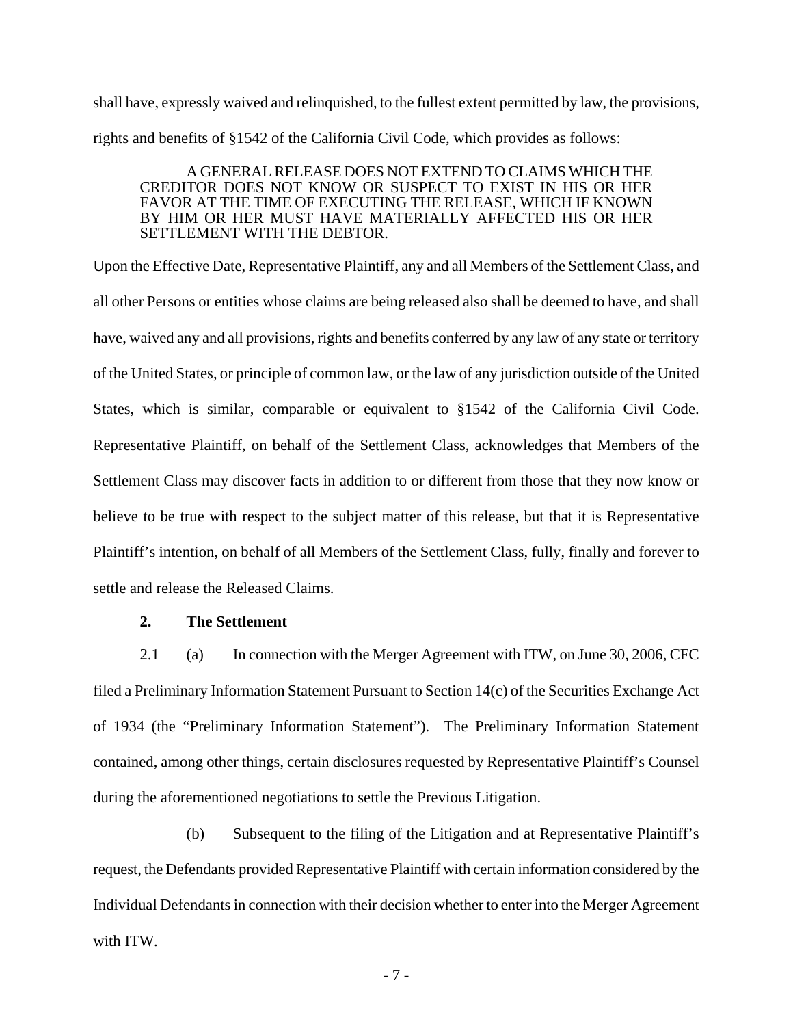shall have, expressly waived and relinquished, to the fullest extent permitted by law, the provisions, rights and benefits of §1542 of the California Civil Code, which provides as follows:

#### A GENERAL RELEASE DOES NOT EXTEND TO CLAIMS WHICH THE CREDITOR DOES NOT KNOW OR SUSPECT TO EXIST IN HIS OR HER FAVOR AT THE TIME OF EXECUTING THE RELEASE, WHICH IF KNOWN BY HIM OR HER MUST HAVE MATERIALLY AFFECTED HIS OR HER SETTLEMENT WITH THE DEBTOR.

Upon the Effective Date, Representative Plaintiff, any and all Members of the Settlement Class, and all other Persons or entities whose claims are being released also shall be deemed to have, and shall have, waived any and all provisions, rights and benefits conferred by any law of any state or territory of the United States, or principle of common law, or the law of any jurisdiction outside of the United States, which is similar, comparable or equivalent to §1542 of the California Civil Code. Representative Plaintiff, on behalf of the Settlement Class, acknowledges that Members of the Settlement Class may discover facts in addition to or different from those that they now know or believe to be true with respect to the subject matter of this release, but that it is Representative Plaintiff's intention, on behalf of all Members of the Settlement Class, fully, finally and forever to settle and release the Released Claims.

#### **2. The Settlement**

2.1 (a) In connection with the Merger Agreement with ITW, on June 30, 2006, CFC filed a Preliminary Information Statement Pursuant to Section 14(c) of the Securities Exchange Act of 1934 (the "Preliminary Information Statement"). The Preliminary Information Statement contained, among other things, certain disclosures requested by Representative Plaintiff's Counsel during the aforementioned negotiations to settle the Previous Litigation.

(b) Subsequent to the filing of the Litigation and at Representative Plaintiff's request, the Defendants provided Representative Plaintiff with certain information considered by the Individual Defendants in connection with their decision whether to enter into the Merger Agreement with ITW.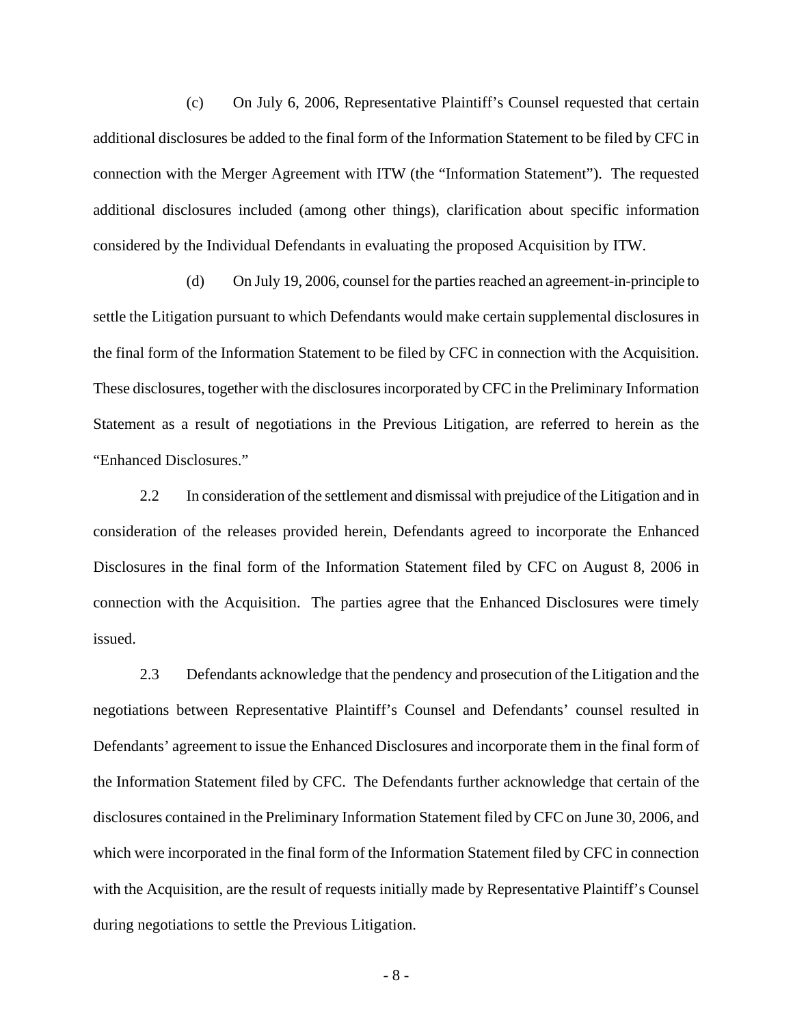(c) On July 6, 2006, Representative Plaintiff's Counsel requested that certain additional disclosures be added to the final form of the Information Statement to be filed by CFC in connection with the Merger Agreement with ITW (the "Information Statement"). The requested additional disclosures included (among other things), clarification about specific information considered by the Individual Defendants in evaluating the proposed Acquisition by ITW.

(d) On July 19, 2006, counsel for the parties reached an agreement-in-principle to settle the Litigation pursuant to which Defendants would make certain supplemental disclosures in the final form of the Information Statement to be filed by CFC in connection with the Acquisition. These disclosures, together with the disclosures incorporated by CFC in the Preliminary Information Statement as a result of negotiations in the Previous Litigation, are referred to herein as the "Enhanced Disclosures."

2.2 In consideration of the settlement and dismissal with prejudice of the Litigation and in consideration of the releases provided herein, Defendants agreed to incorporate the Enhanced Disclosures in the final form of the Information Statement filed by CFC on August 8, 2006 in connection with the Acquisition. The parties agree that the Enhanced Disclosures were timely issued.

2.3 Defendants acknowledge that the pendency and prosecution of the Litigation and the negotiations between Representative Plaintiff's Counsel and Defendants' counsel resulted in Defendants' agreement to issue the Enhanced Disclosures and incorporate them in the final form of the Information Statement filed by CFC. The Defendants further acknowledge that certain of the disclosures contained in the Preliminary Information Statement filed by CFC on June 30, 2006, and which were incorporated in the final form of the Information Statement filed by CFC in connection with the Acquisition, are the result of requests initially made by Representative Plaintiff's Counsel during negotiations to settle the Previous Litigation.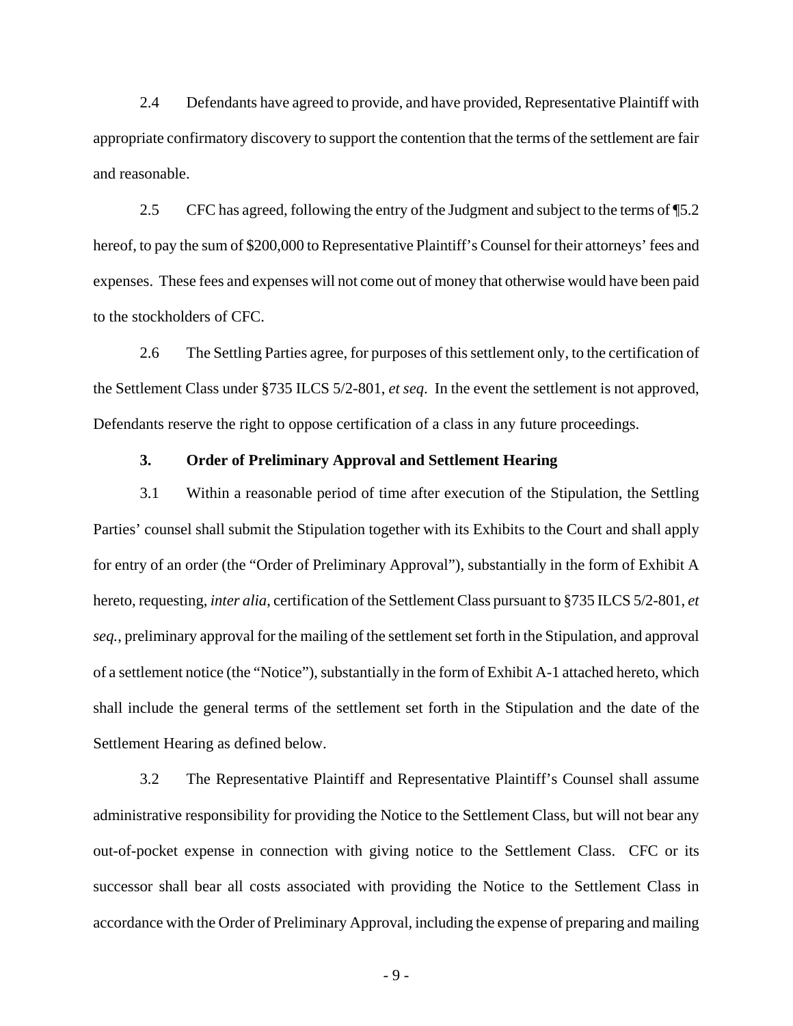2.4 Defendants have agreed to provide, and have provided, Representative Plaintiff with appropriate confirmatory discovery to support the contention that the terms of the settlement are fair and reasonable.

2.5 CFC has agreed, following the entry of the Judgment and subject to the terms of ¶5.2 hereof, to pay the sum of \$200,000 to Representative Plaintiff's Counsel for their attorneys' fees and expenses. These fees and expenses will not come out of money that otherwise would have been paid to the stockholders of CFC.

2.6 The Settling Parties agree, for purposes of this settlement only, to the certification of the Settlement Class under §735 ILCS 5/2-801, *et seq*. In the event the settlement is not approved, Defendants reserve the right to oppose certification of a class in any future proceedings.

#### **3. Order of Preliminary Approval and Settlement Hearing**

3.1 Within a reasonable period of time after execution of the Stipulation, the Settling Parties' counsel shall submit the Stipulation together with its Exhibits to the Court and shall apply for entry of an order (the "Order of Preliminary Approval"), substantially in the form of Exhibit A hereto, requesting, *inter alia*, certification of the Settlement Class pursuant to §735 ILCS 5/2-801, *et seq.*, preliminary approval for the mailing of the settlement set forth in the Stipulation, and approval of a settlement notice (the "Notice"), substantially in the form of Exhibit A-1 attached hereto, which shall include the general terms of the settlement set forth in the Stipulation and the date of the Settlement Hearing as defined below.

3.2 The Representative Plaintiff and Representative Plaintiff's Counsel shall assume administrative responsibility for providing the Notice to the Settlement Class, but will not bear any out-of-pocket expense in connection with giving notice to the Settlement Class. CFC or its successor shall bear all costs associated with providing the Notice to the Settlement Class in accordance with the Order of Preliminary Approval, including the expense of preparing and mailing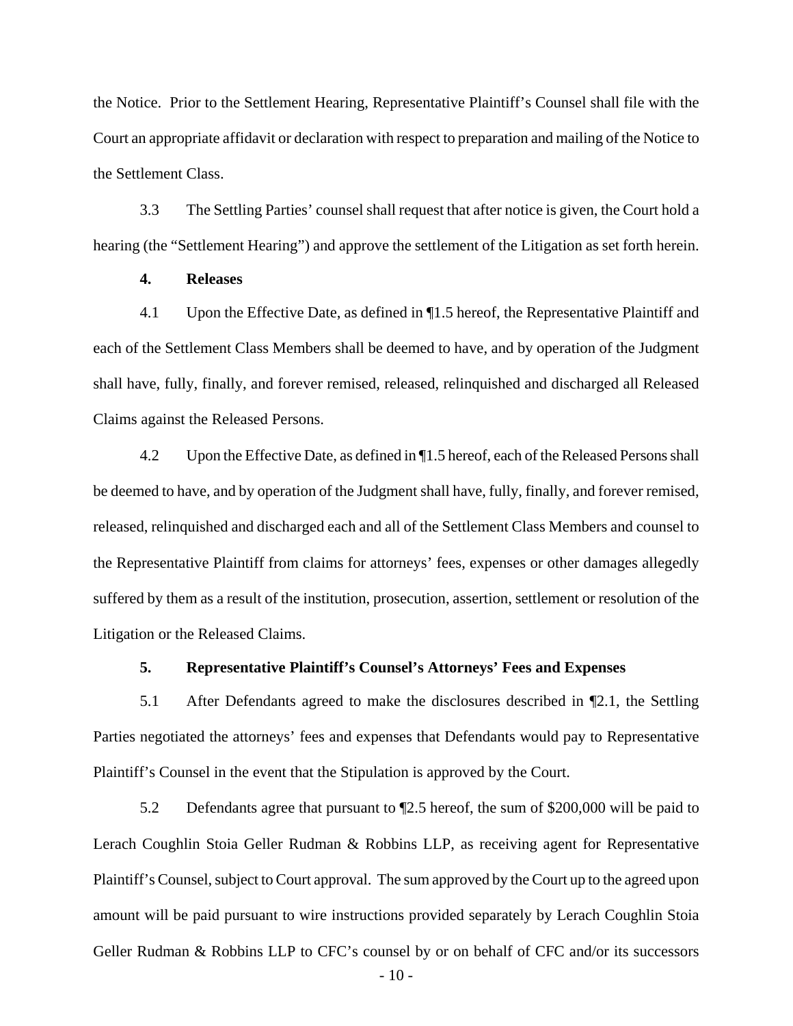the Notice. Prior to the Settlement Hearing, Representative Plaintiff's Counsel shall file with the Court an appropriate affidavit or declaration with respect to preparation and mailing of the Notice to the Settlement Class.

3.3 The Settling Parties' counsel shall request that after notice is given, the Court hold a hearing (the "Settlement Hearing") and approve the settlement of the Litigation as set forth herein.

### **4. Releases**

4.1 Upon the Effective Date, as defined in ¶1.5 hereof, the Representative Plaintiff and each of the Settlement Class Members shall be deemed to have, and by operation of the Judgment shall have, fully, finally, and forever remised, released, relinquished and discharged all Released Claims against the Released Persons.

4.2 Upon the Effective Date, as defined in ¶1.5 hereof, each of the Released Persons shall be deemed to have, and by operation of the Judgment shall have, fully, finally, and forever remised, released, relinquished and discharged each and all of the Settlement Class Members and counsel to the Representative Plaintiff from claims for attorneys' fees, expenses or other damages allegedly suffered by them as a result of the institution, prosecution, assertion, settlement or resolution of the Litigation or the Released Claims.

#### **5. Representative Plaintiff's Counsel's Attorneys' Fees and Expenses**

5.1 After Defendants agreed to make the disclosures described in ¶2.1, the Settling Parties negotiated the attorneys' fees and expenses that Defendants would pay to Representative Plaintiff's Counsel in the event that the Stipulation is approved by the Court.

5.2 Defendants agree that pursuant to ¶2.5 hereof, the sum of \$200,000 will be paid to Lerach Coughlin Stoia Geller Rudman & Robbins LLP, as receiving agent for Representative Plaintiff's Counsel, subject to Court approval. The sum approved by the Court up to the agreed upon amount will be paid pursuant to wire instructions provided separately by Lerach Coughlin Stoia Geller Rudman & Robbins LLP to CFC's counsel by or on behalf of CFC and/or its successors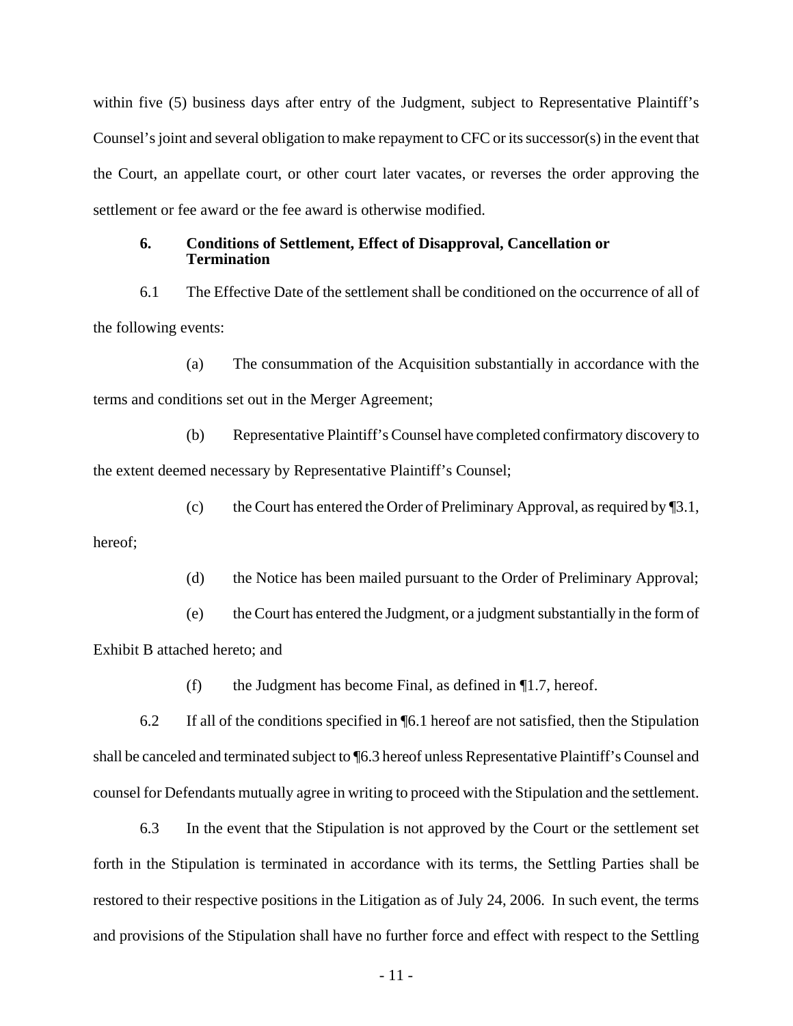within five (5) business days after entry of the Judgment, subject to Representative Plaintiff's Counsel's joint and several obligation to make repayment to CFC or its successor(s) in the event that the Court, an appellate court, or other court later vacates, or reverses the order approving the settlement or fee award or the fee award is otherwise modified.

#### **6. Conditions of Settlement, Effect of Disapproval, Cancellation or Termination**

6.1 The Effective Date of the settlement shall be conditioned on the occurrence of all of the following events:

(a) The consummation of the Acquisition substantially in accordance with the terms and conditions set out in the Merger Agreement;

(b) Representative Plaintiff's Counsel have completed confirmatory discovery to the extent deemed necessary by Representative Plaintiff's Counsel;

(c) the Court has entered the Order of Preliminary Approval, as required by  $\P$ 3.1,

hereof;

(d) the Notice has been mailed pursuant to the Order of Preliminary Approval;

(e) the Court has entered the Judgment, or a judgment substantially in the form of Exhibit B attached hereto; and

(f) the Judgment has become Final, as defined in  $\P$ 1.7, hereof.

6.2 If all of the conditions specified in ¶6.1 hereof are not satisfied, then the Stipulation shall be canceled and terminated subject to ¶6.3 hereof unless Representative Plaintiff's Counsel and counsel for Defendants mutually agree in writing to proceed with the Stipulation and the settlement.

6.3 In the event that the Stipulation is not approved by the Court or the settlement set forth in the Stipulation is terminated in accordance with its terms, the Settling Parties shall be restored to their respective positions in the Litigation as of July 24, 2006. In such event, the terms and provisions of the Stipulation shall have no further force and effect with respect to the Settling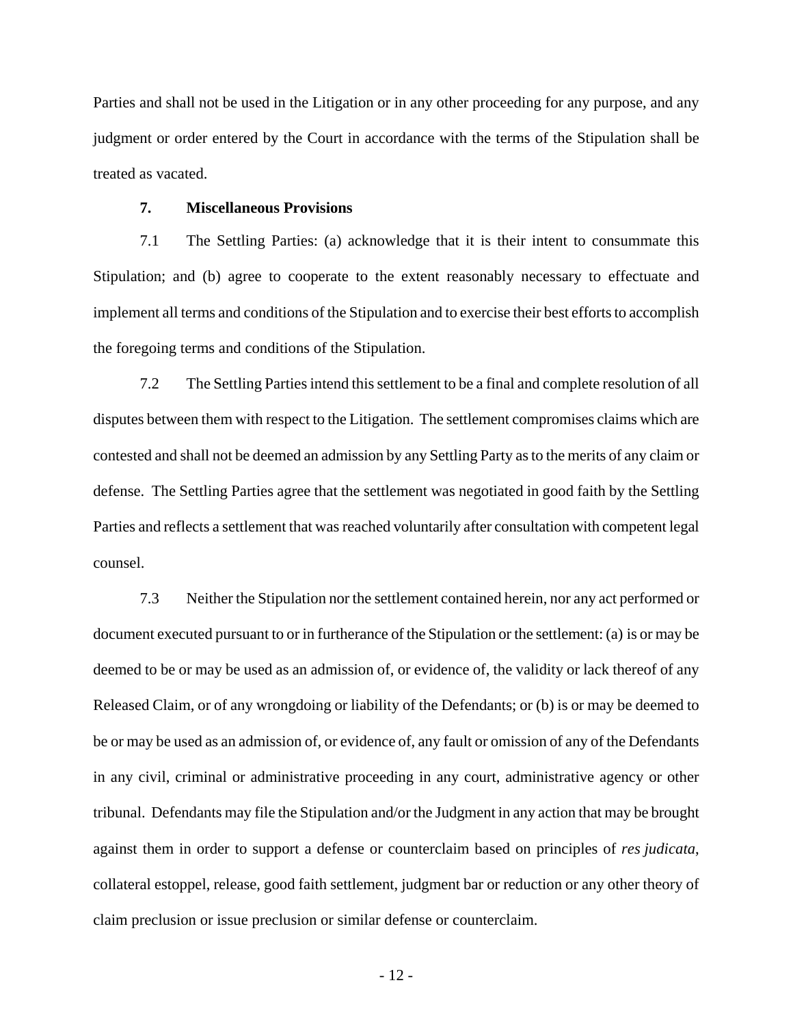Parties and shall not be used in the Litigation or in any other proceeding for any purpose, and any judgment or order entered by the Court in accordance with the terms of the Stipulation shall be treated as vacated.

#### **7. Miscellaneous Provisions**

7.1 The Settling Parties: (a) acknowledge that it is their intent to consummate this Stipulation; and (b) agree to cooperate to the extent reasonably necessary to effectuate and implement all terms and conditions of the Stipulation and to exercise their best efforts to accomplish the foregoing terms and conditions of the Stipulation.

7.2 The Settling Parties intend this settlement to be a final and complete resolution of all disputes between them with respect to the Litigation. The settlement compromises claims which are contested and shall not be deemed an admission by any Settling Party as to the merits of any claim or defense. The Settling Parties agree that the settlement was negotiated in good faith by the Settling Parties and reflects a settlement that was reached voluntarily after consultation with competent legal counsel.

7.3 Neither the Stipulation nor the settlement contained herein, nor any act performed or document executed pursuant to or in furtherance of the Stipulation or the settlement: (a) is or may be deemed to be or may be used as an admission of, or evidence of, the validity or lack thereof of any Released Claim, or of any wrongdoing or liability of the Defendants; or (b) is or may be deemed to be or may be used as an admission of, or evidence of, any fault or omission of any of the Defendants in any civil, criminal or administrative proceeding in any court, administrative agency or other tribunal. Defendants may file the Stipulation and/or the Judgment in any action that may be brought against them in order to support a defense or counterclaim based on principles of *res judicata*, collateral estoppel, release, good faith settlement, judgment bar or reduction or any other theory of claim preclusion or issue preclusion or similar defense or counterclaim.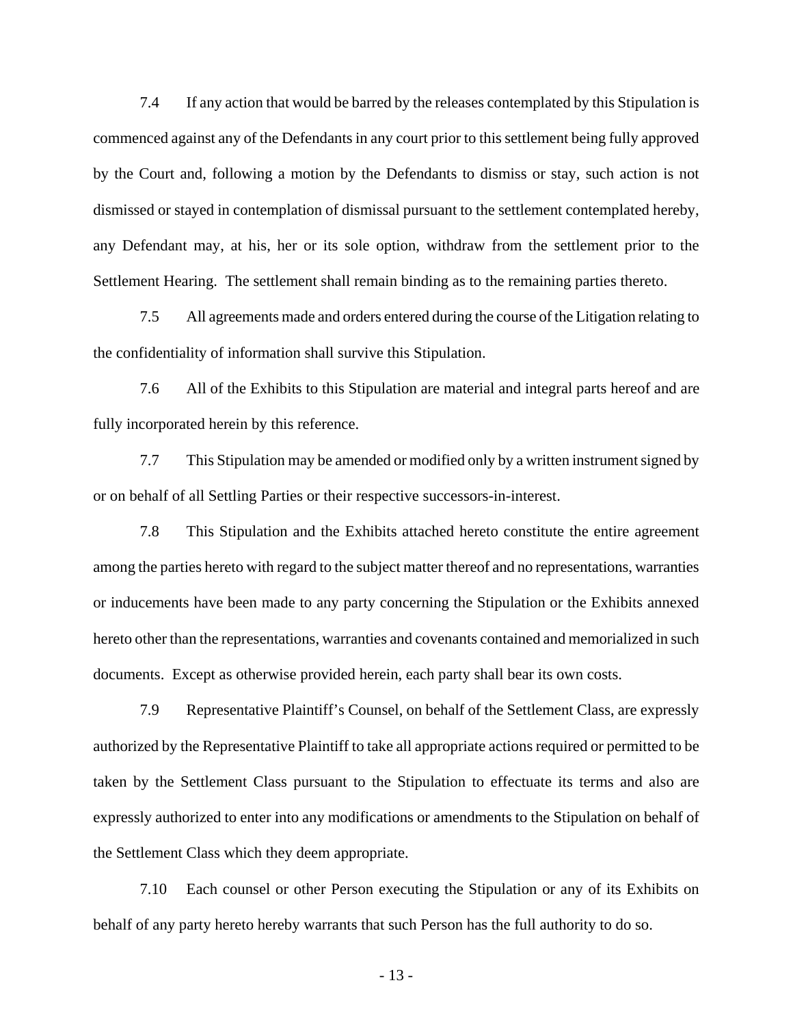7.4 If any action that would be barred by the releases contemplated by this Stipulation is commenced against any of the Defendants in any court prior to this settlement being fully approved by the Court and, following a motion by the Defendants to dismiss or stay, such action is not dismissed or stayed in contemplation of dismissal pursuant to the settlement contemplated hereby, any Defendant may, at his, her or its sole option, withdraw from the settlement prior to the Settlement Hearing. The settlement shall remain binding as to the remaining parties thereto.

7.5 All agreements made and orders entered during the course of the Litigation relating to the confidentiality of information shall survive this Stipulation.

7.6 All of the Exhibits to this Stipulation are material and integral parts hereof and are fully incorporated herein by this reference.

7.7 This Stipulation may be amended or modified only by a written instrument signed by or on behalf of all Settling Parties or their respective successors-in-interest.

7.8 This Stipulation and the Exhibits attached hereto constitute the entire agreement among the parties hereto with regard to the subject matter thereof and no representations, warranties or inducements have been made to any party concerning the Stipulation or the Exhibits annexed hereto other than the representations, warranties and covenants contained and memorialized in such documents. Except as otherwise provided herein, each party shall bear its own costs.

7.9 Representative Plaintiff's Counsel, on behalf of the Settlement Class, are expressly authorized by the Representative Plaintiff to take all appropriate actions required or permitted to be taken by the Settlement Class pursuant to the Stipulation to effectuate its terms and also are expressly authorized to enter into any modifications or amendments to the Stipulation on behalf of the Settlement Class which they deem appropriate.

7.10 Each counsel or other Person executing the Stipulation or any of its Exhibits on behalf of any party hereto hereby warrants that such Person has the full authority to do so.

- 13 -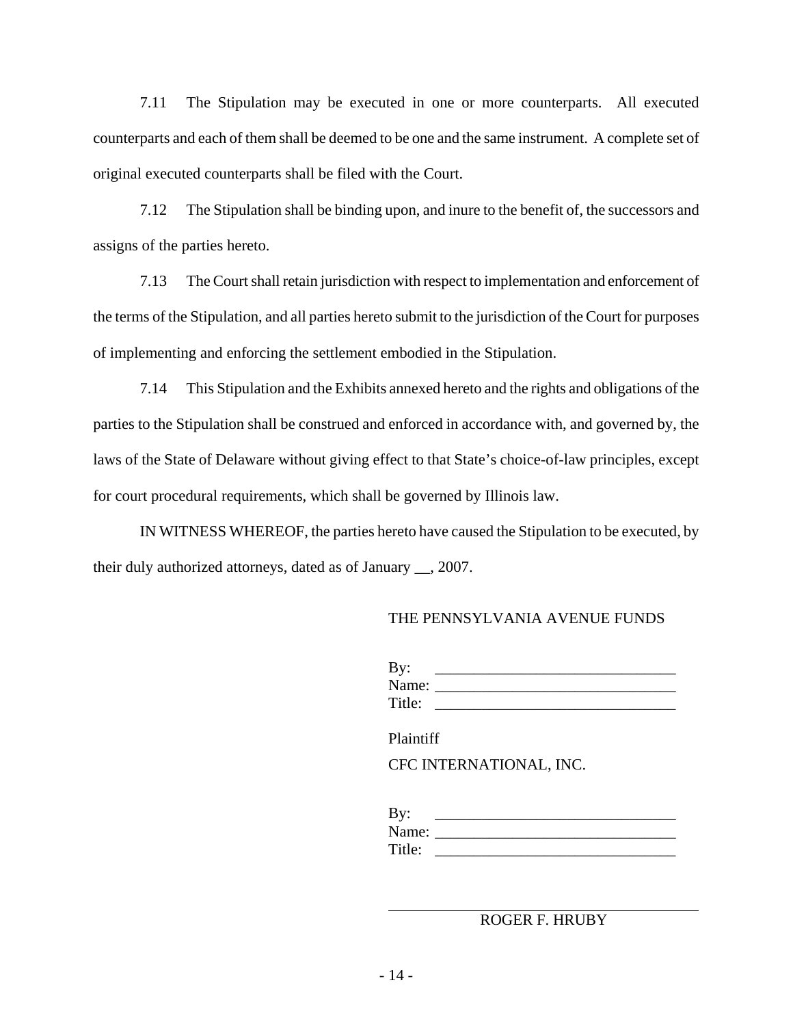7.11 The Stipulation may be executed in one or more counterparts. All executed counterparts and each of them shall be deemed to be one and the same instrument. A complete set of original executed counterparts shall be filed with the Court.

7.12 The Stipulation shall be binding upon, and inure to the benefit of, the successors and assigns of the parties hereto.

7.13 The Court shall retain jurisdiction with respect to implementation and enforcement of the terms of the Stipulation, and all parties hereto submit to the jurisdiction of the Court for purposes of implementing and enforcing the settlement embodied in the Stipulation.

7.14 This Stipulation and the Exhibits annexed hereto and the rights and obligations of the parties to the Stipulation shall be construed and enforced in accordance with, and governed by, the laws of the State of Delaware without giving effect to that State's choice-of-law principles, except for court procedural requirements, which shall be governed by Illinois law.

IN WITNESS WHEREOF, the parties hereto have caused the Stipulation to be executed, by their duly authorized attorneys, dated as of January \_\_, 2007.

#### THE PENNSYLVANIA AVENUE FUNDS

| By:    |  |
|--------|--|
| Name:  |  |
| Title: |  |

Plaintiff

CFC INTERNATIONAL, INC.

| By:    |  |
|--------|--|
| Name:  |  |
| Title: |  |

ROGER F. HRUBY